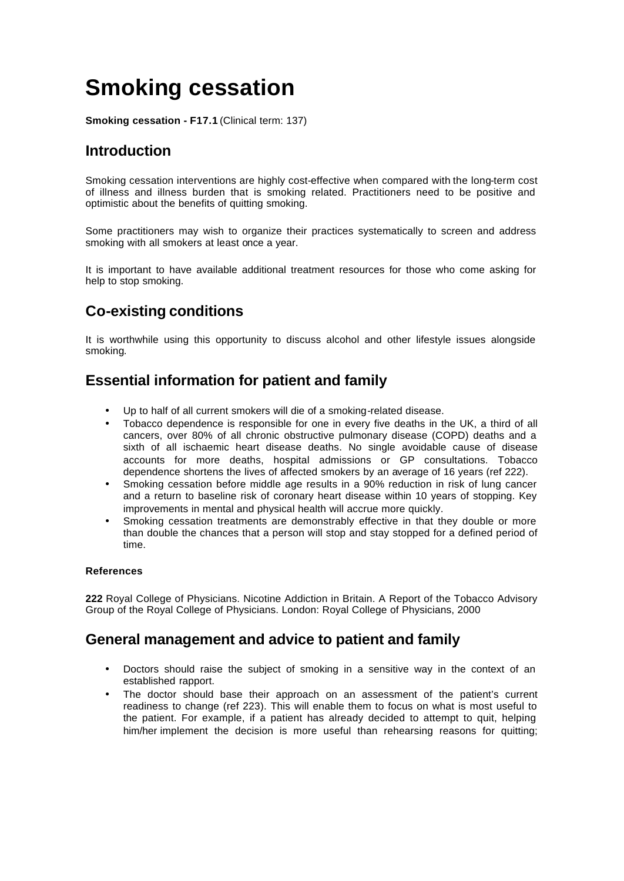# **Smoking cessation**

**Smoking cessation - F17.1** (Clinical term: 137)

# **Introduction**

Smoking cessation interventions are highly cost-effective when compared with the long-term cost of illness and illness burden that is smoking related. Practitioners need to be positive and optimistic about the benefits of quitting smoking.

Some practitioners may wish to organize their practices systematically to screen and address smoking with all smokers at least once a year.

It is important to have available additional treatment resources for those who come asking for help to stop smoking.

# **Co-existing conditions**

It is worthwhile using this opportunity to discuss alcohol and other lifestyle issues alongside smoking.

# **Essential information for patient and family**

- Up to half of all current smokers will die of a smoking-related disease.
- Tobacco dependence is responsible for one in every five deaths in the UK, a third of all cancers, over 80% of all chronic obstructive pulmonary disease (COPD) deaths and a sixth of all ischaemic heart disease deaths. No single avoidable cause of disease accounts for more deaths, hospital admissions or GP consultations. Tobacco dependence shortens the lives of affected smokers by an average of 16 years (ref 222).
- Smoking cessation before middle age results in a 90% reduction in risk of lung cancer and a return to baseline risk of coronary heart disease within 10 years of stopping. Key improvements in mental and physical health will accrue more quickly.
- Smoking cessation treatments are demonstrably effective in that they double or more than double the chances that a person will stop and stay stopped for a defined period of time.

#### **References**

**222** Royal College of Physicians. Nicotine Addiction in Britain. A Report of the Tobacco Advisory Group of the Royal College of Physicians. London: Royal College of Physicians, 2000

## **General management and advice to patient and family**

- Doctors should raise the subject of smoking in a sensitive way in the context of an established rapport.
- The doctor should base their approach on an assessment of the patient's current readiness to change (ref 223). This will enable them to focus on what is most useful to the patient. For example, if a patient has already decided to attempt to quit, helping him/her implement the decision is more useful than rehearsing reasons for quitting;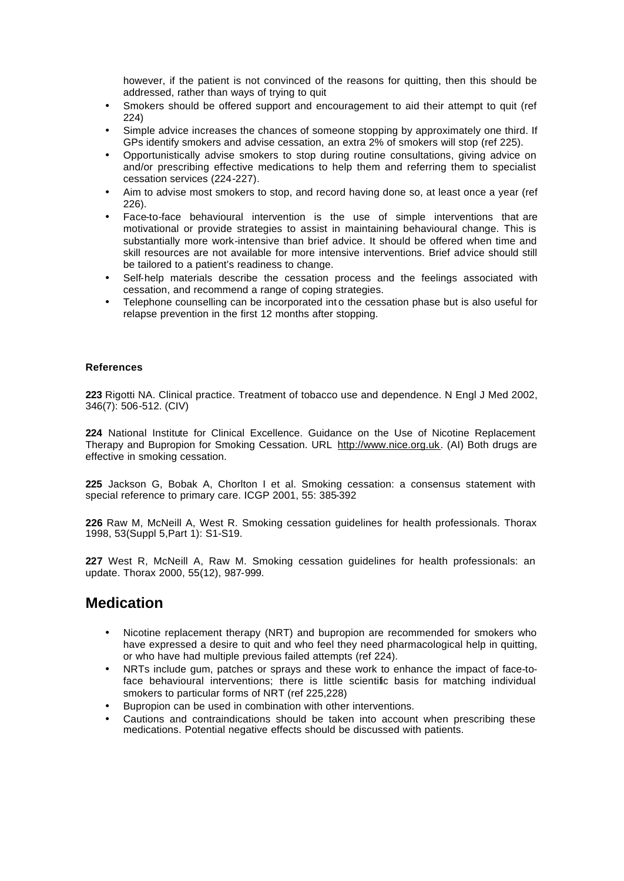however, if the patient is not convinced of the reasons for quitting, then this should be addressed, rather than ways of trying to quit

- Smokers should be offered support and encouragement to aid their attempt to quit (ref 224)
- Simple advice increases the chances of someone stopping by approximately one third. If GPs identify smokers and advise cessation, an extra 2% of smokers will stop (ref 225).
- Opportunistically advise smokers to stop during routine consultations, giving advice on and/or prescribing effective medications to help them and referring them to specialist cessation services (224-227).
- Aim to advise most smokers to stop, and record having done so, at least once a year (ref 226).
- Face-to-face behavioural intervention is the use of simple interventions that are motivational or provide strategies to assist in maintaining behavioural change. This is substantially more work-intensive than brief advice. It should be offered when time and skill resources are not available for more intensive interventions. Brief advice should still be tailored to a patient's readiness to change.
- Self-help materials describe the cessation process and the feelings associated with cessation, and recommend a range of coping strategies.
- Telephone counselling can be incorporated int o the cessation phase but is also useful for relapse prevention in the first 12 months after stopping.

#### **References**

**223** Rigotti NA. Clinical practice. Treatment of tobacco use and dependence. N Engl J Med 2002, 346(7): 506-512. (CIV)

**224** National Institute for Clinical Excellence. Guidance on the Use of Nicotine Replacement Therapy and Bupropion for Smoking Cessation. URL http://www.nice.org.uk. (AI) Both drugs are effective in smoking cessation.

**225** Jackson G, Bobak A, Chorlton I et al. Smoking cessation: a consensus statement with special reference to primary care. ICGP 2001, 55: 385-392

**226** Raw M, McNeill A, West R. Smoking cessation guidelines for health professionals. Thorax 1998, 53(Suppl 5,Part 1): S1-S19.

**227** West R, McNeill A, Raw M. Smoking cessation guidelines for health professionals: an update. Thorax 2000, 55(12), 987-999.

### **Medication**

- Nicotine replacement therapy (NRT) and bupropion are recommended for smokers who have expressed a desire to quit and who feel they need pharmacological help in quitting, or who have had multiple previous failed attempts (ref 224).
- NRTs include gum, patches or sprays and these work to enhance the impact of face-toface behavioural interventions; there is little scientific basis for matching individual smokers to particular forms of NRT (ref 225,228)
- Bupropion can be used in combination with other interventions.
- Cautions and contraindications should be taken into account when prescribing these medications. Potential negative effects should be discussed with patients.